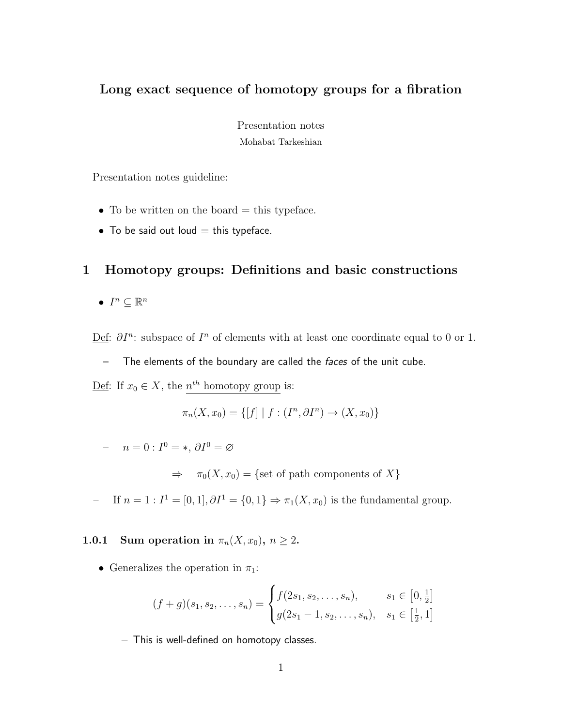# Long exact sequence of homotopy groups for a fibration

Presentation notes Mohabat Tarkeshian

Presentation notes guideline:

- To be written on the board  $=$  this typeface.
- To be said out loud  $=$  this typeface.

## 1 Homotopy groups: Definitions and basic constructions

•  $I^n \subseteq \mathbb{R}^n$ 

Def:  $\partial I^n$ : subspace of  $I^n$  of elements with at least one coordinate equal to 0 or 1.

– The elements of the boundary are called the faces of the unit cube.

 $\text{Def: If } x_0 \in X, \text{ the } n^{th} \text{ homotopy group is:}$ 

$$
\pi_n(X, x_0) = \{ [f] | f : (I^n, \partial I^n) \to (X, x_0) \}
$$

 $n = 0 : I^0 = *, \partial I^0 = \varnothing$ 

 $\Rightarrow \pi_0(X, x_0) = \{$ set of path components of X $\}$ 

 $-$  If  $n = 1 : I<sup>1</sup> = [0, 1], ∂I<sup>1</sup> = {0, 1} ⇒ π<sub>1</sub>(X, x<sub>0</sub>)$  is the fundamental group.

1.0.1 Sum operation in  $\pi_n(X, x_0)$ ,  $n \geq 2$ .

• Generalizes the operation in  $\pi_1$ :

$$
(f+g)(s_1, s_2, \dots, s_n) = \begin{cases} f(2s_1, s_2, \dots, s_n), & s_1 \in [0, \frac{1}{2}] \\ g(2s_1 - 1, s_2, \dots, s_n), & s_1 \in [\frac{1}{2}, 1] \end{cases}
$$

– This is well-defined on homotopy classes.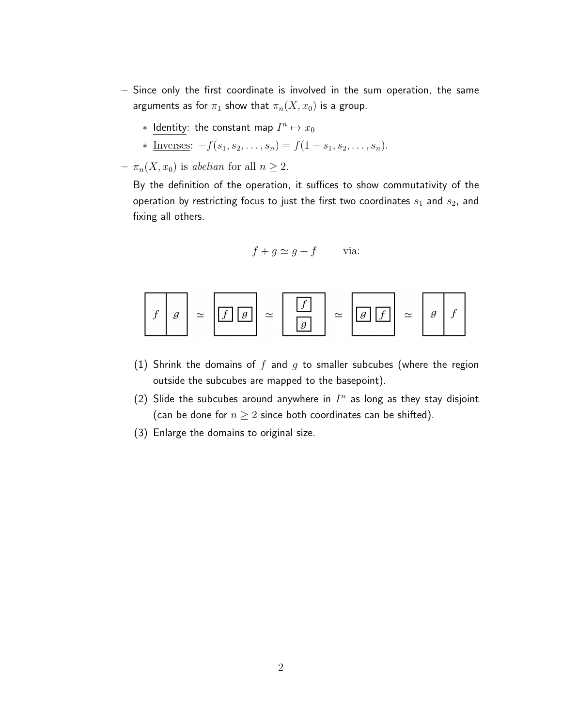- Since only the first coordinate is involved in the sum operation, the same arguments as for  $\pi_1$  show that  $\pi_n(X, x_0)$  is a group.
	- $*$  Identity: the constant map  $I^n \mapsto x_0$
	- \* Inverses:  $-f(s_1, s_2, \ldots, s_n) = f(1 s_1, s_2, \ldots, s_n).$
- $\pi_n(X, x_0)$  is abelian for all  $n \geq 2$ .

By the definition of the operation, it suffices to show commutativity of the operation by restricting focus to just the first two coordinates  $s_1$  and  $s_2$ , and fixing all others.

$$
f + g \simeq g + f \qquad \text{via:}
$$

$$
f \mid g \mid \simeq \boxed{f \mid g} \simeq \boxed{\frac{f}{g}} \simeq \boxed{g \mid f} \simeq \boxed{g \mid f}
$$

- (1) Shrink the domains of  $f$  and  $g$  to smaller subcubes (where the region outside the subcubes are mapped to the basepoint).
- (2) Slide the subcubes around anywhere in  $I<sup>n</sup>$  as long as they stay disjoint (can be done for  $n \geq 2$  since both coordinates can be shifted).
- (3) Enlarge the domains to original size.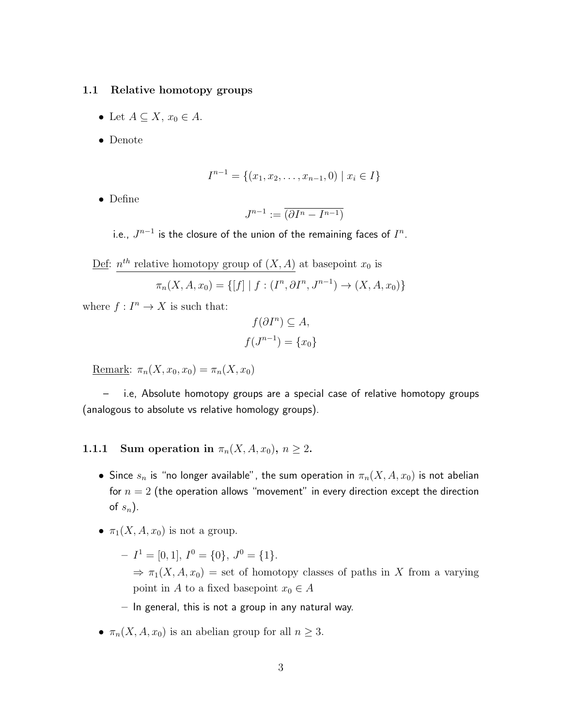#### 1.1 Relative homotopy groups

- Let  $A \subseteq X$ ,  $x_0 \in A$ .
- Denote

$$
I^{n-1} = \{(x_1, x_2, \dots, x_{n-1}, 0) \mid x_i \in I\}
$$

• Define

$$
J^{n-1} := \overline{\left(\partial I^n - I^{n-1}\right)}
$$

i.e.,  $J^{n-1}$  is the closure of the union of the remaining faces of  $I^n$ .

Def:  $n^{th}$  relative homotopy group of  $(X, A)$  at basepoint  $x_0$  is

$$
\pi_n(X, A, x_0) = \{ [f] | f : (I^n, \partial I^n, J^{n-1}) \to (X, A, x_0) \}
$$

where  $f: I^n \to X$  is such that:

$$
f(\partial I^n) \subseteq A,
$$
  

$$
f(J^{n-1}) = \{x_0\}
$$

Remark:  $\pi_n(X, x_0, x_0) = \pi_n(X, x_0)$ 

– i.e, Absolute homotopy groups are a special case of relative homotopy groups (analogous to absolute vs relative homology groups).

## 1.1.1 Sum operation in  $\pi_n(X, A, x_0)$ ,  $n \geq 2$ .

- Since  $s_n$  is "no longer available", the sum operation in  $\pi_n(X, A, x_0)$  is not abelian for  $n = 2$  (the operation allows "movement" in every direction except the direction of  $s_n$ ).
- $\pi_1(X, A, x_0)$  is not a group.
	- $-I<sup>1</sup> = [0, 1], I<sup>0</sup> = \{0\}, J<sup>0</sup> = \{1\}.$  $\Rightarrow \pi_1(X, A, x_0) =$  set of homotopy classes of paths in X from a varying point in A to a fixed basepoint  $x_0 \in A$
	- $-$  In general, this is not a group in any natural way.
- $\pi_n(X, A, x_0)$  is an abelian group for all  $n \geq 3$ .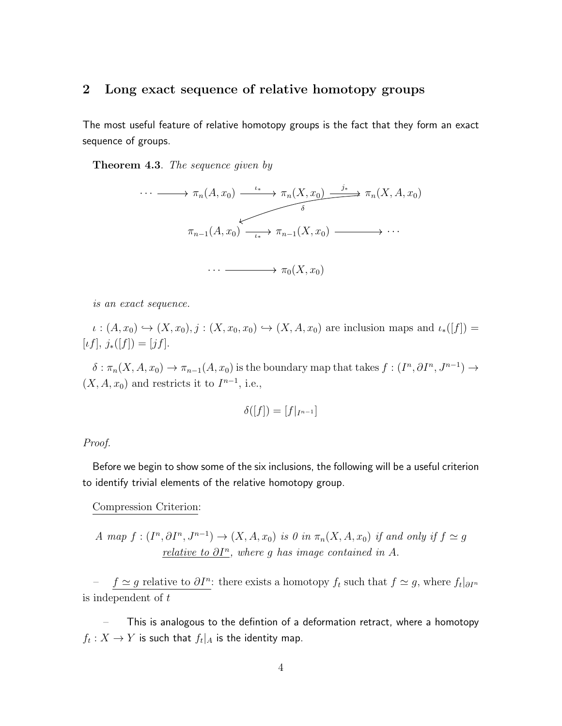#### 2 Long exact sequence of relative homotopy groups

The most useful feature of relative homotopy groups is the fact that they form an exact sequence of groups.

Theorem 4.3. The sequence given by



is an exact sequence.

 $\iota : (A, x_0) \hookrightarrow (X, x_0), j : (X, x_0, x_0) \hookrightarrow (X, A, x_0)$  are inclusion maps and  $\iota_*([f]) =$  $[\iota f], j_*([f]) = [jf].$ 

 $\delta: \pi_n(X, A, x_0) \to \pi_{n-1}(A, x_0)$  is the boundary map that takes  $f: (I^n, \partial I^n, J^{n-1}) \to$  $(X, A, x_0)$  and restricts it to  $I^{n-1}$ , i.e.,

$$
\delta([f]) = [f|_{I^{n-1}}]
$$

Proof.

Before we begin to show some of the six inclusions, the following will be a useful criterion to identify trivial elements of the relative homotopy group.

Compression Criterion:

A map 
$$
f:(I^n, \partial I^n, J^{n-1}) \to (X, A, x_0)
$$
 is 0 in  $\pi_n(X, A, x_0)$  if and only if  $f \simeq g$   
relative to  $\partial I^n$ , where g has image contained in A.

 $f$  ≃ g relative to  $\partial I^n$ : there exists a homotopy  $f_t$  such that  $f \simeq g$ , where  $f_t|_{\partial I^n}$ is independent of t

– This is analogous to the defintion of a deformation retract, where a homotopy  $f_t: X \to Y$  is such that  $f_t|_A$  is the identity map.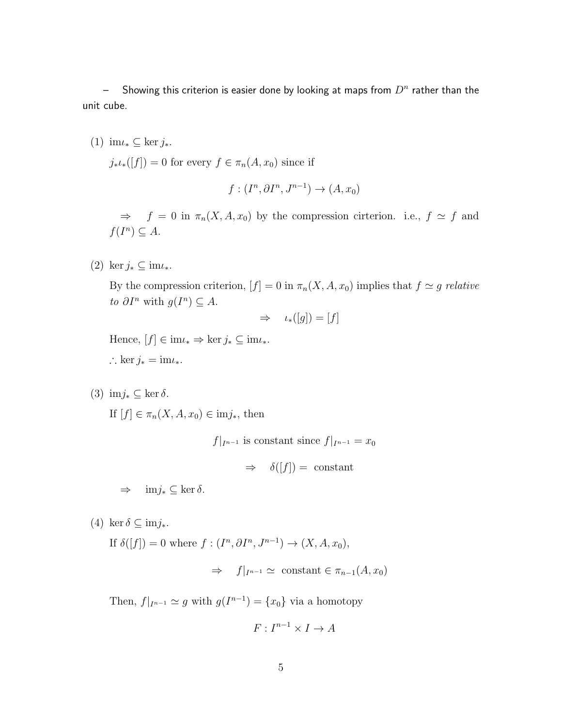$-$  Showing this criterion is easier done by looking at maps from  $D^n$  rather than the unit cube.

(1) im $\iota_* \subset \text{ker } j_*$ .  $j_*\iota_*([f]) = 0$  for every  $f \in \pi_n(A, x_0)$  since if

$$
f:(I^n, \partial I^n, J^{n-1}) \to (A, x_0)
$$

 $\Rightarrow$  f = 0 in  $\pi_n(X, A, x_0)$  by the compression cirterion. i.e.,  $f \simeq f$  and  $f(I^n) \subseteq A$ .

(2) ker  $j_* \subseteq im\iota_*$ .

By the compression criterion,  $[f] = 0$  in  $\pi_n(X, A, x_0)$  implies that  $f \simeq g$  relative to  $\partial I^n$  with  $g(I^n) \subseteq A$ .

$$
\Rightarrow \quad \iota_*([g]) = [f]
$$

Hence,  $[f] \in \text{im}\iota_* \Rightarrow \ker j_* \subseteq \text{im}\iota_*$ . ∴ ker  $j_* = im\iota_*$ .

(3) imj<sup>∗</sup> ⊆ ker δ.

If  $[f] \in \pi_n(X, A, x_0) \in \text{im} j_*$ , then

 $f|_{I^{n-1}}$  is constant since  $f|_{I^{n-1}} = x_0$ 

 $\Rightarrow \quad \delta([f]) = \text{ constant}$ 

 $\Rightarrow$  im*j*<sub>\*</sub> ⊆ ker  $\delta$ .

(4) ker  $\delta \subseteq \text{im} j_*$ .

If  $\delta([f]) = 0$  where  $f: (I^n, \partial I^n, J^{n-1}) \to (X, A, x_0),$ 

$$
\Rightarrow f|_{I^{n-1}} \simeq \text{ constant } \in \pi_{n-1}(A, x_0)
$$

Then,  $f|_{I^{n-1}} \simeq g$  with  $g(I^{n-1}) = \{x_0\}$  via a homotopy

$$
F: I^{n-1} \times I \to A
$$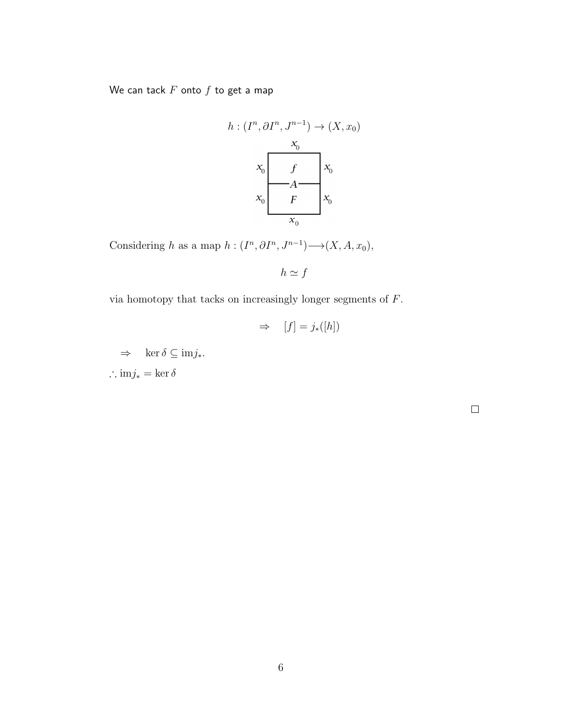We can tack  $F$  onto  $f$  to get a map

$$
h: (I^n, \partial I^n, J^{n-1}) \to (X, x_0)
$$

$$
x_0
$$

$$
x_0
$$

$$
f
$$

$$
x_0
$$

$$
F
$$

$$
x_0
$$

$$
x_0
$$

$$
x_0
$$

Considering h as a map  $h: (I^n, \partial I^n, J^{n-1}) \longrightarrow (X, A, x_0),$ 

 $h \simeq f$ 

via homotopy that tacks on increasingly longer segments of  $F$ .

$$
\Rightarrow [f] = j_*([h])
$$

 $\Rightarrow$  ker  $\delta \subseteq \text{im} j_*$ . ∴ im $j_* = \ker \delta$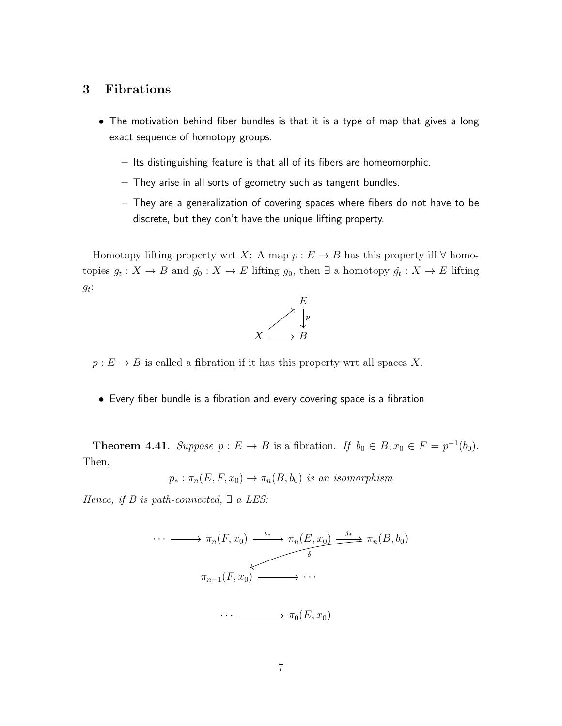## 3 Fibrations

- The motivation behind fiber bundles is that it is a type of map that gives a long exact sequence of homotopy groups.
	- Its distinguishing feature is that all of its fibers are homeomorphic.
	- They arise in all sorts of geometry such as tangent bundles.
	- They are a generalization of covering spaces where fibers do not have to be discrete, but they don't have the unique lifting property.

Homotopy lifting property wrt X: A map  $p : E \to B$  has this property iff  $\forall$  homotopies  $g_t: X \to B$  and  $\tilde{g}_0: X \to E$  lifting  $g_0$ , then  $\exists$  a homotopy  $\tilde{g}_t: X \to E$  lifting  $g_t$ :



 $p: E \to B$  is called a fibration if it has this property wrt all spaces X.

• Every fiber bundle is a fibration and every covering space is a fibration

**Theorem 4.41.** Suppose  $p: E \to B$  is a fibration. If  $b_0 \in B$ ,  $x_0 \in F = p^{-1}(b_0)$ . Then,

$$
p_* : \pi_n(E, F, x_0) \to \pi_n(B, b_0)
$$
 is an isomorphism

Hence, if B is path-connected,  $\exists a$  LES: